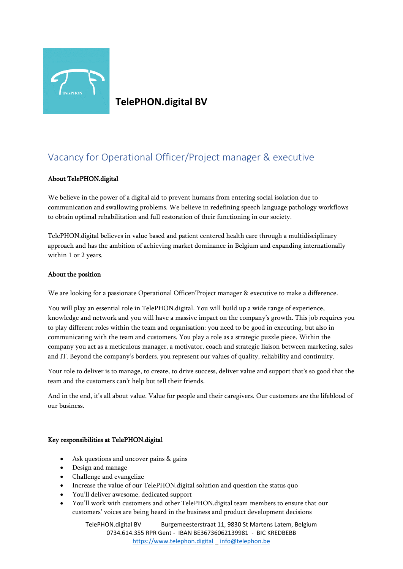

**TelePHON.digital BV** 

# Vacancy for Operational Officer/Project manager & executive

#### About TelePHON.digital

We believe in the power of a digital aid to prevent humans from entering social isolation due to communication and swallowing problems. We believe in redefining speech language pathology workflows to obtain optimal rehabilitation and full restoration of their functioning in our society.

TelePHON.digital believes in value based and patient centered health care through a multidisciplinary approach and has the ambition of achieving market dominance in Belgium and expanding internationally within 1 or 2 years.

#### About the position

We are looking for a passionate Operational Officer/Project manager & executive to make a difference.

You will play an essential role in TelePHON.digital. You will build up a wide range of experience, knowledge and network and you will have a massive impact on the company's growth. This job requires you to play different roles within the team and organisation: you need to be good in executing, but also in communicating with the team and customers. You play a role as a strategic puzzle piece. Within the company you act as a meticulous manager, a motivator, coach and strategic liaison between marketing, sales and IT. Beyond the company's borders, you represent our values of quality, reliability and continuity.

Your role to deliver is to manage, to create, to drive success, deliver value and support that's so good that the team and the customers can't help but tell their friends.

And in the end, it's all about value. Value for people and their caregivers. Our customers are the lifeblood of our business.

#### Key responsibilities at TelePHON.digital

- Ask questions and uncover pains & gains
- Design and manage
- Challenge and evangelize
- Increase the value of our TelePHON.digital solution and question the status quo
- You'll deliver awesome, dedicated support
- You'll work with customers and other TelePHON.digital team members to ensure that our customers' voices are being heard in the business and product development decisions

TelePHON.digital BV Burgemeesterstraat 11, 9830 St Martens Latem, Belgium 0734.614.355 RPR Gent - IBAN BE36736062139981 - BIC KREDBEBB [https://www.telephon.digital](https://www.telephon.digital/) \_ [info@telephon.be](mailto:info@telephon.be)